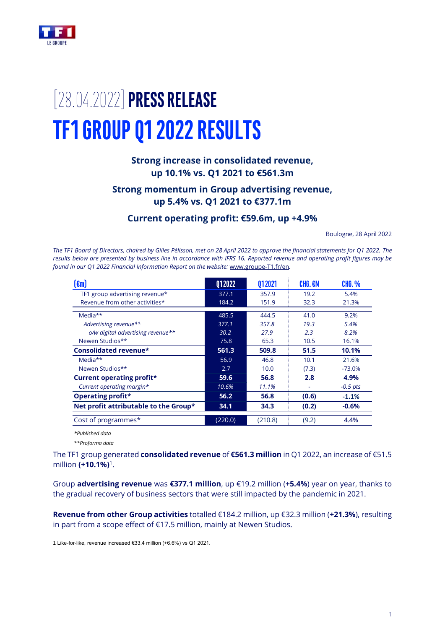

# [28.04.2022]**PRESS RELEASE TF1 GROUP Q1 2022 RESULTS**

# **Strong increase in consolidated revenue, up 10.1% vs. Q1 2021 to €561.3m**

# **Strong momentum in Group advertising revenue, up 5.4% vs. Q1 2021 to €377.1m**

# **Current operating profit: €59.6m, up +4.9%**

Boulogne, 28 April 2022

*The TF1 Board of Directors, chaired by Gilles Pélisson, met on 28 April 2022 to approve the financial statements for Q1 2022. The results below are presented by business line in accordance with IFRS 16. Reported revenue and operating profit figures may be found in our Q1 2022 Financial Information Report on the website:* [www.groupe-T1.fr/en](http://www.groupe-tf1.fr/)*.*

| $(\epsilon m)$                        | Q12022  | Q12021  | CHG. €M | <b>CHG. %</b> |
|---------------------------------------|---------|---------|---------|---------------|
| TF1 group advertising revenue*        | 377.1   | 357.9   | 19.2    | 5.4%          |
| Revenue from other activities*        | 184.2   | 151.9   | 32.3    | 21.3%         |
| Media**                               | 485.5   | 444.5   | 41.0    | 9.2%          |
| Advertising revenue**                 | 377.1   | 357.8   | 19.3    | 5.4%          |
| o/w digital advertising revenue**     | 30.2    | 27.9    | 2.3     | 8.2%          |
| Newen Studios**                       | 75.8    | 65.3    | 10.5    | 16.1%         |
| Consolidated revenue*                 | 561.3   | 509.8   | 51.5    | 10.1%         |
| Media**                               | 56.9    | 46.8    | 10.1    | 21.6%         |
| Newen Studios**                       | 2.7     | 10.0    | (7.3)   | $-73.0%$      |
| <b>Current operating profit*</b>      | 59.6    | 56.8    | 2.8     | 4.9%          |
| Current operating margin*             | 10.6%   | 11.1%   |         | $-0.5$ pts    |
| <b>Operating profit*</b>              | 56.2    | 56.8    | (0.6)   | $-1.1%$       |
| Net profit attributable to the Group* | 34.1    | 34.3    | (0.2)   | $-0.6%$       |
| Cost of programmes*                   | (220.0) | (210.8) | (9.2)   | 4.4%          |

*\*Published data*

*\*\*Proforma data*

The TF1 group generated **consolidated revenue** of **€561.3 million** in Q1 2022, an increase of €51.5 million **(+10.1%)**<sup>1</sup> .

Group **advertising revenue** was **€377.1 million**, up €19.2 million (**+5.4%**) year on year, thanks to the gradual recovery of business sectors that were still impacted by the pandemic in 2021.

**Revenue from other Group activities** totalled €184.2 million, up €32.3 million (**+21.3%**), resulting in part from a scope effect of €17.5 million, mainly at Newen Studios.

<sup>1</sup> Like-for-like, revenue increased €33.4 million (+6.6%) vs Q1 2021.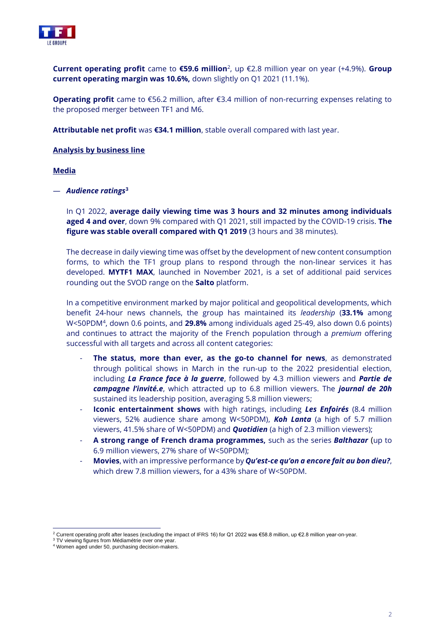

**Current operating profit** came to **€59.6 million**<sup>2</sup> , up €2.8 million year on year (+4.9%). **Group current operating margin was 10.6%,** down slightly on Q1 2021 (11.1%).

**Operating profit** came to €56.2 million, after €3.4 million of non-recurring expenses relating to the proposed merger between TF1 and M6.

**Attributable net profit** was **€34.1 million**, stable overall compared with last year.

## **Analysis by business line**

## **Media**

— *Audience ratings***<sup>3</sup>**

In Q1 2022, **average daily viewing time was 3 hours and 32 minutes among individuals aged 4 and over**, down 9% compared with Q1 2021, still impacted by the COVID-19 crisis. **The figure was stable overall compared with Q1 2019** (3 hours and 38 minutes).

The decrease in daily viewing time was offset by the development of new content consumption forms, to which the TF1 group plans to respond through the non-linear services it has developed. **MYTF1 MAX**, launched in November 2021, is a set of additional paid services rounding out the SVOD range on the **Salto** platform.

In a competitive environment marked by major political and geopolitical developments, which benefit 24-hour news channels, the group has maintained its *leadership* (**33.1%** among W<50PDM<sup>4</sup> , down 0.6 points, and **29.8%** among individuals aged 25-49, also down 0.6 points) and continues to attract the majority of the French population through a *premium* offering successful with all targets and across all content categories:

- The status, more than ever, as the go-to channel for news, as demonstrated through political shows in March in the run-up to the 2022 presidential election, including *La France face à la guerre*, followed by 4.3 million viewers and *Partie de campagne l'invité.e*, which attracted up to 6.8 million viewers. The *journal de 20h* sustained its leadership position, averaging 5.8 million viewers;
- **Iconic entertainment shows** with high ratings, including *Les Enfoirés* (8.4 million viewers, 52% audience share among W<50PDM), *Koh Lanta* (a high of 5.7 million viewers, 41.5% share of W<50PDM) and *Quotidien* (a high of 2.3 million viewers);
- **A strong range of French drama programmes,** such as the series *Balthazar* (up to 6.9 million viewers, 27% share of W<50PDM);
- **Movies**, with an impressive performance by *Qu'est-ce qu'on a encore fait au bon dieu?*, which drew 7.8 million viewers, for a 43% share of W<50PDM.

<sup>2</sup> Current operating profit after leases (excluding the impact of IFRS 16) for Q1 2022 was €58.8 million, up €2.8 million year-on-year.

<sup>&</sup>lt;sup>3</sup> TV viewing figures from Médiamétrie over one year.

<sup>4</sup> Women aged under 50, purchasing decision-makers.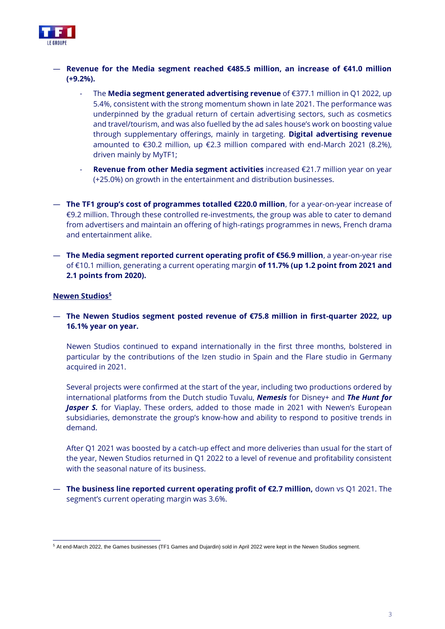

- **Revenue for the Media segment reached €485.5 million, an increase of €41.0 million (+9.2%).**
	- The **Media segment generated advertising revenue** of €377.1 million in Q1 2022, up 5.4%, consistent with the strong momentum shown in late 2021. The performance was underpinned by the gradual return of certain advertising sectors, such as cosmetics and travel/tourism, and was also fuelled by the ad sales house's work on boosting value through supplementary offerings, mainly in targeting. **Digital advertising revenue** amounted to €30.2 million, up €2.3 million compared with end-March 2021 (8.2%), driven mainly by MyTF1;
	- **Revenue from other Media segment activities** increased €21.7 million year on year (+25.0%) on growth in the entertainment and distribution businesses.
- **The TF1 group's cost of programmes totalled €220.0 million**, for a year-on-year increase of €9.2 million. Through these controlled re-investments, the group was able to cater to demand from advertisers and maintain an offering of high-ratings programmes in news, French drama and entertainment alike.
- **The Media segment reported current operating profit of €56.9 million**, a year-on-year rise of €10.1 million, generating a current operating margin **of 11.7% (up 1.2 point from 2021 and 2.1 points from 2020).**

# **Newen Studios<sup>5</sup>**

— **The Newen Studios segment posted revenue of €75.8 million in first-quarter 2022, up 16.1% year on year.** 

Newen Studios continued to expand internationally in the first three months, bolstered in particular by the contributions of the Izen studio in Spain and the Flare studio in Germany acquired in 2021.

Several projects were confirmed at the start of the year, including two productions ordered by international platforms from the Dutch studio Tuvalu, *Nemesis* for Disney+ and *The Hunt for*  Jasper S. for Viaplay. These orders, added to those made in 2021 with Newen's European subsidiaries, demonstrate the group's know-how and ability to respond to positive trends in demand.

After Q1 2021 was boosted by a catch-up effect and more deliveries than usual for the start of the year, Newen Studios returned in Q1 2022 to a level of revenue and profitability consistent with the seasonal nature of its business.

— **The business line reported current operating profit of €2.7 million,** down vs Q1 2021. The segment's current operating margin was 3.6%.

<sup>5</sup> At end-March 2022, the Games businesses (TF1 Games and Dujardin) sold in April 2022 were kept in the Newen Studios segment.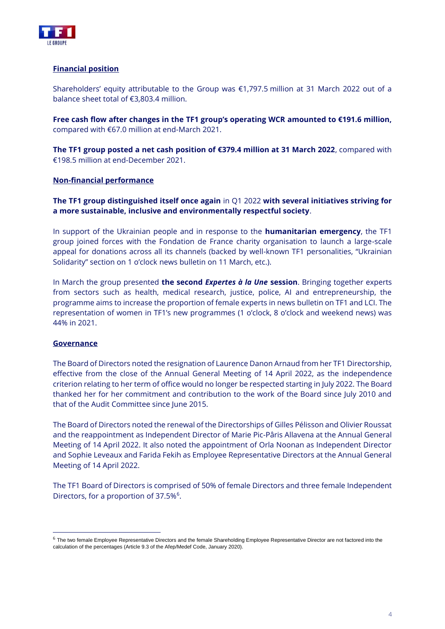

# **Financial position**

Shareholders' equity attributable to the Group was €1,797.5 million at 31 March 2022 out of a balance sheet total of €3,803.4 million.

**Free cash flow after changes in the TF1 group's operating WCR amounted to €191.6 million,**  compared with €67.0 million at end-March 2021.

**The TF1 group posted a net cash position of €379.4 million at 31 March 2022**, compared with €198.5 million at end-December 2021.

# **Non-financial performance**

**The TF1 group distinguished itself once again** in Q1 2022 **with several initiatives striving for a more sustainable, inclusive and environmentally respectful society**.

In support of the Ukrainian people and in response to the **humanitarian emergency**, the TF1 group joined forces with the Fondation de France charity organisation to launch a large-scale appeal for donations across all its channels (backed by well-known TF1 personalities, "Ukrainian Solidarity" section on 1 o'clock news bulletin on 11 March, etc.).

In March the group presented **the second** *Expertes à la Une* **session**. Bringing together experts from sectors such as health, medical research, justice, police, AI and entrepreneurship, the programme aims to increase the proportion of female experts in news bulletin on TF1 and LCI. The representation of women in TF1's new programmes (1 o'clock, 8 o'clock and weekend news) was 44% in 2021.

# **Governance**

The Board of Directors noted the resignation of Laurence Danon Arnaud from her TF1 Directorship, effective from the close of the Annual General Meeting of 14 April 2022, as the independence criterion relating to her term of office would no longer be respected starting in July 2022. The Board thanked her for her commitment and contribution to the work of the Board since July 2010 and that of the Audit Committee since June 2015.

The Board of Directors noted the renewal of the Directorships of Gilles Pélisson and Olivier Roussat and the reappointment as Independent Director of Marie Pic-Pâris Allavena at the Annual General Meeting of 14 April 2022. It also noted the appointment of Orla Noonan as Independent Director and Sophie Leveaux and Farida Fekih as Employee Representative Directors at the Annual General Meeting of 14 April 2022.

The TF1 Board of Directors is comprised of 50% of female Directors and three female Independent Directors, for a proportion of 37.5%<sup>6</sup>.

 $6$  The two female Employee Representative Directors and the female Shareholding Employee Representative Director are not factored into the calculation of the percentages (Article 9.3 of the Afep/Medef Code, January 2020).